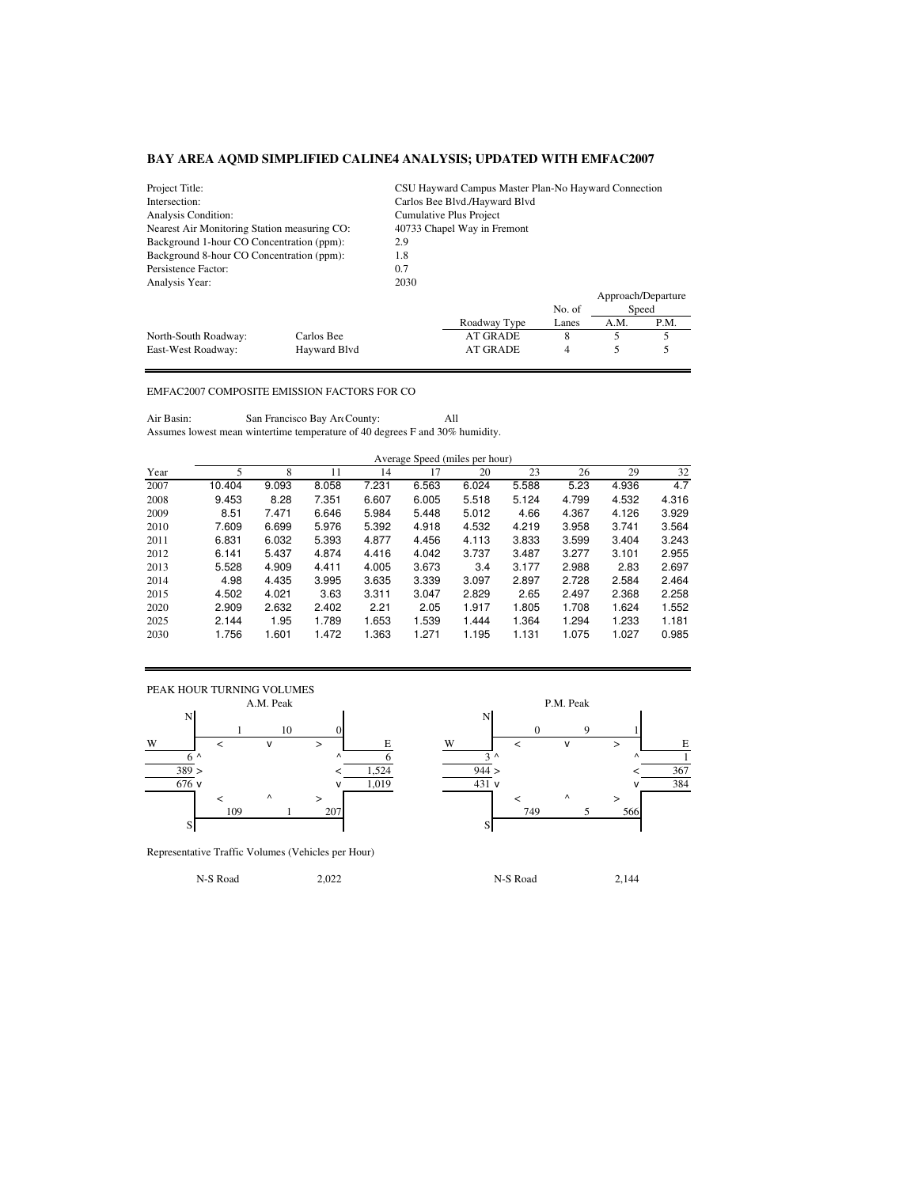| Project Title:                               |              |                               | CSU Hayward Campus Master Plan-No Hayward Connection |        |                    |       |  |  |  |
|----------------------------------------------|--------------|-------------------------------|------------------------------------------------------|--------|--------------------|-------|--|--|--|
| Intersection:                                |              | Carlos Bee Blvd./Hayward Blvd |                                                      |        |                    |       |  |  |  |
| Analysis Condition:                          |              | Cumulative Plus Project       |                                                      |        |                    |       |  |  |  |
| Nearest Air Monitoring Station measuring CO: |              | 40733 Chapel Way in Fremont   |                                                      |        |                    |       |  |  |  |
| Background 1-hour CO Concentration (ppm):    |              | 2.9                           |                                                      |        |                    |       |  |  |  |
| Background 8-hour CO Concentration (ppm):    |              | 1.8                           |                                                      |        |                    |       |  |  |  |
| Persistence Factor:                          | 0.7          |                               |                                                      |        |                    |       |  |  |  |
| Analysis Year:                               |              | 2030                          |                                                      |        |                    |       |  |  |  |
|                                              |              |                               |                                                      |        | Approach/Departure |       |  |  |  |
|                                              |              |                               |                                                      | No. of |                    | Speed |  |  |  |
|                                              |              |                               | Roadway Type                                         | Lanes  | A.M.               | P.M.  |  |  |  |
| North-South Roadway:                         | Carlos Bee   |                               | <b>AT GRADE</b>                                      | 8      | 5                  | 5     |  |  |  |
| East-West Roadway:                           | Havward Blvd |                               | <b>AT GRADE</b>                                      | 4      |                    |       |  |  |  |

## EMFAC2007 COMPOSITE EMISSION FACTORS FOR CO

Air Basin: San Francisco Bay Art County: All Assumes lowest mean wintertime temperature of 40 degrees F and 30% humidity.

|      |        | Average Speed (miles per hour) |       |       |       |       |       |       |       |       |  |  |
|------|--------|--------------------------------|-------|-------|-------|-------|-------|-------|-------|-------|--|--|
| Year |        |                                |       | 14    |       | 20    | 23    | 26    | 29    | 32    |  |  |
| 2007 | 10.404 | 9.093                          | 8.058 | 7.231 | 6.563 | 6.024 | 5.588 | 5.23  | 4.936 | 4.7   |  |  |
| 2008 | 9.453  | 8.28                           | 7.351 | 6.607 | 6.005 | 5.518 | 5.124 | 4.799 | 4.532 | 4.316 |  |  |
| 2009 | 8.51   | 7.471                          | 6.646 | 5.984 | 5.448 | 5.012 | 4.66  | 4.367 | 4.126 | 3.929 |  |  |
| 2010 | 7.609  | 6.699                          | 5.976 | 5.392 | 4.918 | 4.532 | 4.219 | 3.958 | 3.741 | 3.564 |  |  |

| ---- | ---   | .     | ----  | ----  | ----  | ----  | .     | .     | .     | ----- |
|------|-------|-------|-------|-------|-------|-------|-------|-------|-------|-------|
| 2010 | 7.609 | 6.699 | 5.976 | 5.392 | 4.918 | 4.532 | 4.219 | 3.958 | 3.741 | 3.564 |
| 2011 | 6.831 | 6.032 | 5.393 | 4.877 | 4.456 | 4.113 | 3.833 | 3.599 | 3.404 | 3.243 |
| 2012 | 6.141 | 5.437 | 4.874 | 4.416 | 4.042 | 3.737 | 3.487 | 3.277 | 3.101 | 2.955 |
| 2013 | 5.528 | 4.909 | 4.411 | 4.005 | 3.673 | 3.4   | 3.177 | 2.988 | 2.83  | 2.697 |
| 2014 | 4.98  | 4.435 | 3.995 | 3.635 | 3.339 | 3.097 | 2.897 | 2.728 | 2.584 | 2.464 |
| 2015 | 4.502 | 4.021 | 3.63  | 3.311 | 3.047 | 2.829 | 2.65  | 2.497 | 2.368 | 2.258 |
| 2020 | 2.909 | 2.632 | 2.402 | 2.21  | 2.05  | 1.917 | 1.805 | 1.708 | 1.624 | 1.552 |
| 2025 | 2.144 | 1.95  | 1.789 | 1.653 | 1.539 | 1.444 | 1.364 | 1.294 | 1.233 | 1.181 |
| 2030 | 1.756 | 1.601 | 1.472 | 1.363 | 1.271 | 1.195 | 1.131 | 1.075 | 1.027 | 0.985 |
|      |       |       |       |       |       |       |       |       |       |       |



1 10 0 0 9 1  $6^{\wedge}$   $6^{\wedge}$   $1$ 109 1 207 1 207 1 749 5 566

Representative Traffic Volumes (Vehicles per Hour)

N-S Road 2,022 N-S Road 2,144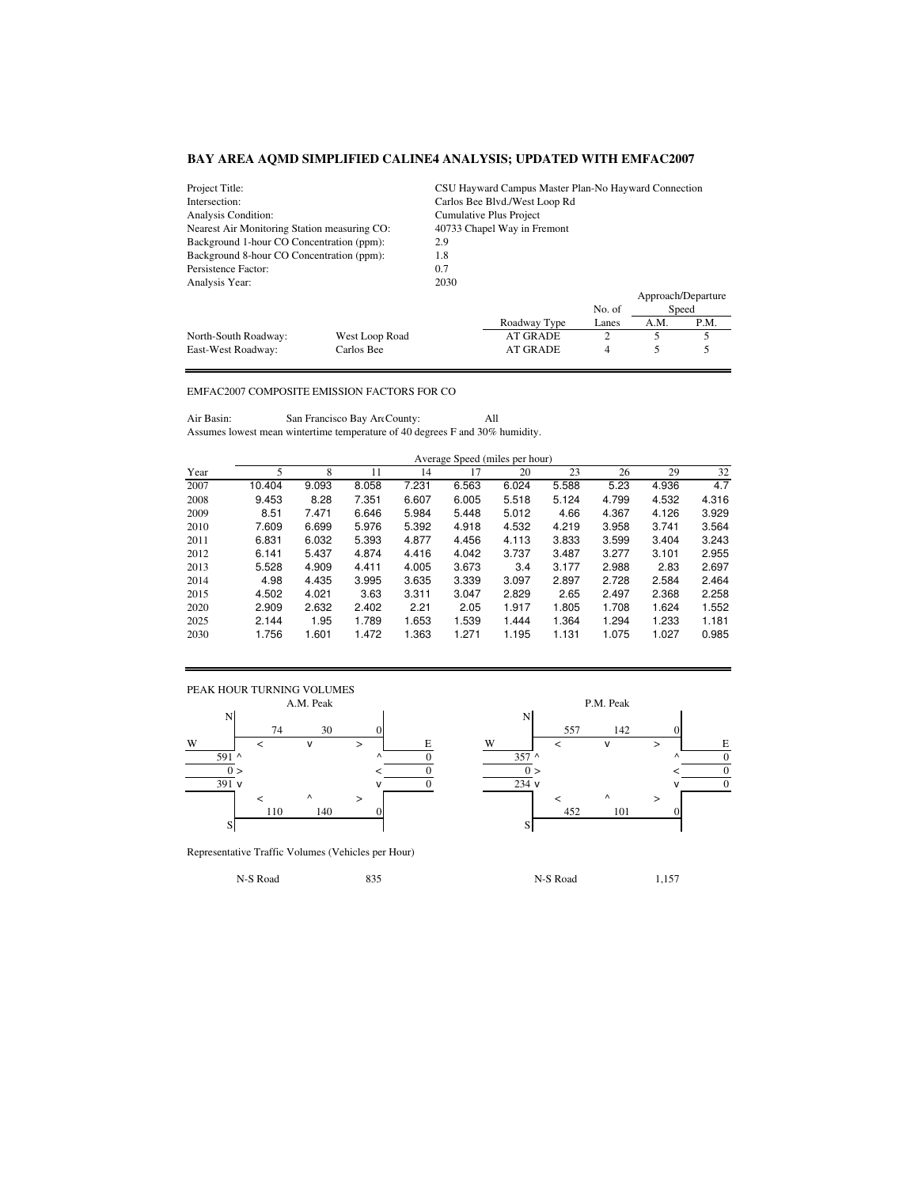| Project Title:                               |                | CSU Hayward Campus Master Plan-No Hayward Connection |                               |        |                    |       |  |  |  |
|----------------------------------------------|----------------|------------------------------------------------------|-------------------------------|--------|--------------------|-------|--|--|--|
| Intersection:                                |                |                                                      | Carlos Bee Blvd./West Loop Rd |        |                    |       |  |  |  |
| Analysis Condition:                          |                |                                                      | Cumulative Plus Project       |        |                    |       |  |  |  |
| Nearest Air Monitoring Station measuring CO: |                | 40733 Chapel Way in Fremont                          |                               |        |                    |       |  |  |  |
| Background 1-hour CO Concentration (ppm):    |                | 2.9                                                  |                               |        |                    |       |  |  |  |
| Background 8-hour CO Concentration (ppm):    | 1.8            |                                                      |                               |        |                    |       |  |  |  |
| Persistence Factor:                          |                | 0.7                                                  |                               |        |                    |       |  |  |  |
| Analysis Year:                               |                | 2030                                                 |                               |        |                    |       |  |  |  |
|                                              |                |                                                      |                               |        | Approach/Departure |       |  |  |  |
|                                              |                |                                                      |                               | No. of |                    | Speed |  |  |  |
|                                              |                |                                                      | Roadway Type                  | Lanes  | A.M.               | P.M.  |  |  |  |
| North-South Roadway:                         | West Loop Road |                                                      | AT GRADE                      | 2      | 5                  | 5     |  |  |  |
| East-West Roadway:                           | Carlos Bee     |                                                      | <b>AT GRADE</b>               | 4      |                    |       |  |  |  |

## EMFAC2007 COMPOSITE EMISSION FACTORS FOR CO

Air Basin: San Francisco Bay Are County: All Assumes lowest mean wintertime temperature of 40 degrees F and 30% humidity.

|      | Average Speed (miles per hour) |       |       |       |       |       |       |       |       |       |  |  |
|------|--------------------------------|-------|-------|-------|-------|-------|-------|-------|-------|-------|--|--|
| Year | 5                              | 8     | 11    | 14    | 17    | 20    | 23    | 26    | 29    | 32    |  |  |
| 2007 | 10.404                         | 9.093 | 8.058 | 7.231 | 6.563 | 6.024 | 5.588 | 5.23  | 4.936 | 4.7   |  |  |
| 2008 | 9.453                          | 8.28  | 7.351 | 6.607 | 6.005 | 5.518 | 5.124 | 4.799 | 4.532 | 4.316 |  |  |
| 2009 | 8.51                           | 7.471 | 6.646 | 5.984 | 5.448 | 5.012 | 4.66  | 4.367 | 4.126 | 3.929 |  |  |
| 2010 | 7.609                          | 6.699 | 5.976 | 5.392 | 4.918 | 4.532 | 4.219 | 3.958 | 3.741 | 3.564 |  |  |
| 2011 | 6.831                          | 6.032 | 5.393 | 4.877 | 4.456 | 4.113 | 3.833 | 3.599 | 3.404 | 3.243 |  |  |
| 2012 | 6.141                          | 5.437 | 4.874 | 4.416 | 4.042 | 3.737 | 3.487 | 3.277 | 3.101 | 2.955 |  |  |
| 2013 | 5.528                          | 4.909 | 4.411 | 4.005 | 3.673 | 3.4   | 3.177 | 2.988 | 2.83  | 2.697 |  |  |
| 2014 | 4.98                           | 4.435 | 3.995 | 3.635 | 3.339 | 3.097 | 2.897 | 2.728 | 2.584 | 2.464 |  |  |
| 2015 | 4.502                          | 4.021 | 3.63  | 3.311 | 3.047 | 2.829 | 2.65  | 2.497 | 2.368 | 2.258 |  |  |
| 2020 | 2.909                          | 2.632 | 2.402 | 2.21  | 2.05  | 1.917 | 1.805 | 1.708 | 1.624 | 1.552 |  |  |
| 2025 | 2.144                          | 1.95  | 1.789 | 1.653 | 1.539 | 1.444 | 1.364 | 1.294 | 1.233 | 1.181 |  |  |
| 2030 | 1.756                          | 1.601 | 1.472 | 1.363 | 1.271 | 1.195 | 1.131 | 1.075 | 1.027 | 0.985 |  |  |



Representative Traffic Volumes (Vehicles per Hour)

74 30 0 557 142 0 591 ^ ^ 0 357 ^ ^ 0  $0 >$   $<$   $0$   $0 >$   $<$   $0$  $\sqrt{0}$  234 v  $\sqrt{0}$  234 v  $\sqrt{0}$ 110 140 0 452 101 0

N-S Road 1,157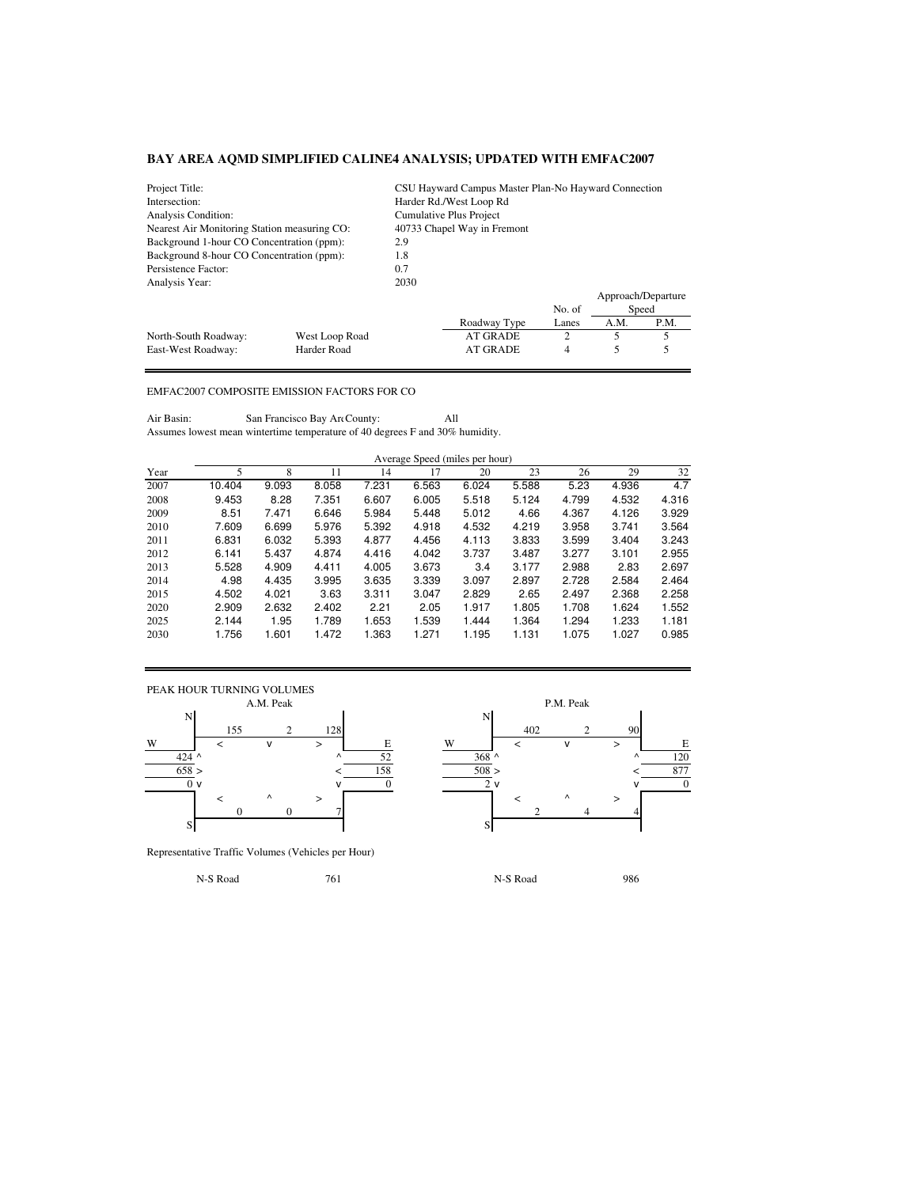| Project Title:                               |                |                      | CSU Hayward Campus Master Plan-No Hayward Connection |        |      |                    |  |  |  |  |
|----------------------------------------------|----------------|----------------------|------------------------------------------------------|--------|------|--------------------|--|--|--|--|
| Intersection:                                |                |                      | Harder Rd./West Loop Rd                              |        |      |                    |  |  |  |  |
| Analysis Condition:                          |                |                      | Cumulative Plus Project                              |        |      |                    |  |  |  |  |
| Nearest Air Monitoring Station measuring CO: |                |                      | 40733 Chapel Way in Fremont                          |        |      |                    |  |  |  |  |
| Background 1-hour CO Concentration (ppm):    |                | 2.9                  |                                                      |        |      |                    |  |  |  |  |
| Background 8-hour CO Concentration (ppm):    |                | 1.8                  |                                                      |        |      |                    |  |  |  |  |
| Persistence Factor:                          |                | 0.7                  |                                                      |        |      |                    |  |  |  |  |
| Analysis Year:                               |                | 2030                 |                                                      |        |      |                    |  |  |  |  |
|                                              |                |                      |                                                      |        |      | Approach/Departure |  |  |  |  |
|                                              |                |                      |                                                      | No. of |      | Speed              |  |  |  |  |
|                                              |                |                      | Roadway Type                                         | Lanes  | A.M. | P.M.               |  |  |  |  |
| North-South Roadway:                         | West Loop Road |                      | <b>AT GRADE</b>                                      | 2      |      |                    |  |  |  |  |
| East-West Roadway:                           | Harder Road    | <b>AT GRADE</b><br>4 |                                                      |        |      |                    |  |  |  |  |

## EMFAC2007 COMPOSITE EMISSION FACTORS FOR CO

Air Basin: San Francisco Bay Art County: All Assumes lowest mean wintertime temperature of 40 degrees F and 30% humidity.

|      | Average Speed (miles per hour) |       |       |       |       |       |       |       |       |       |  |  |
|------|--------------------------------|-------|-------|-------|-------|-------|-------|-------|-------|-------|--|--|
| Year | 5                              | 8     | 11    | 14    | 17    | 20    | 23    | 26    | 29    | 32    |  |  |
| 2007 | 10.404                         | 9.093 | 8.058 | 7.231 | 6.563 | 6.024 | 5.588 | 5.23  | 4.936 | 4.7   |  |  |
| 2008 | 9.453                          | 8.28  | 7.351 | 6.607 | 6.005 | 5.518 | 5.124 | 4.799 | 4.532 | 4.316 |  |  |
| 2009 | 8.51                           | 7.471 | 6.646 | 5.984 | 5.448 | 5.012 | 4.66  | 4.367 | 4.126 | 3.929 |  |  |
| 2010 | 7.609                          | 6.699 | 5.976 | 5.392 | 4.918 | 4.532 | 4.219 | 3.958 | 3.741 | 3.564 |  |  |
| 2011 | 6.831                          | 6.032 | 5.393 | 4.877 | 4.456 | 4.113 | 3.833 | 3.599 | 3.404 | 3.243 |  |  |
| 2012 | 6.141                          | 5.437 | 4.874 | 4.416 | 4.042 | 3.737 | 3.487 | 3.277 | 3.101 | 2.955 |  |  |
| 2013 | 5.528                          | 4.909 | 4.411 | 4.005 | 3.673 | 3.4   | 3.177 | 2.988 | 2.83  | 2.697 |  |  |
| 2014 | 4.98                           | 4.435 | 3.995 | 3.635 | 3.339 | 3.097 | 2.897 | 2.728 | 2.584 | 2.464 |  |  |
| 2015 | 4.502                          | 4.021 | 3.63  | 3.311 | 3.047 | 2.829 | 2.65  | 2.497 | 2.368 | 2.258 |  |  |
| 2020 | 2.909                          | 2.632 | 2.402 | 2.21  | 2.05  | 1.917 | 1.805 | 1.708 | 1.624 | 1.552 |  |  |
| 2025 | 2.144                          | 1.95  | 1.789 | 1.653 | 1.539 | 1.444 | 1.364 | 1.294 | 1.233 | 1.181 |  |  |
| 2030 | 1.756                          | 1.601 | 1.472 | 1.363 | 1.271 | 1.195 | 1.131 | 1.075 | 1.027 | 0.985 |  |  |



155 2 128 402 2 90  $\overline{0}$  v  $\overline{0}$  v  $\overline{0}$   $\overline{2}$  v  $\overline{0}$   $\overline{2}$  v  $\overline{0}$ 0 0 7 2 4 4

Representative Traffic Volumes (Vehicles per Hour)

N-S Road 986 986 986 986 PM S Road 986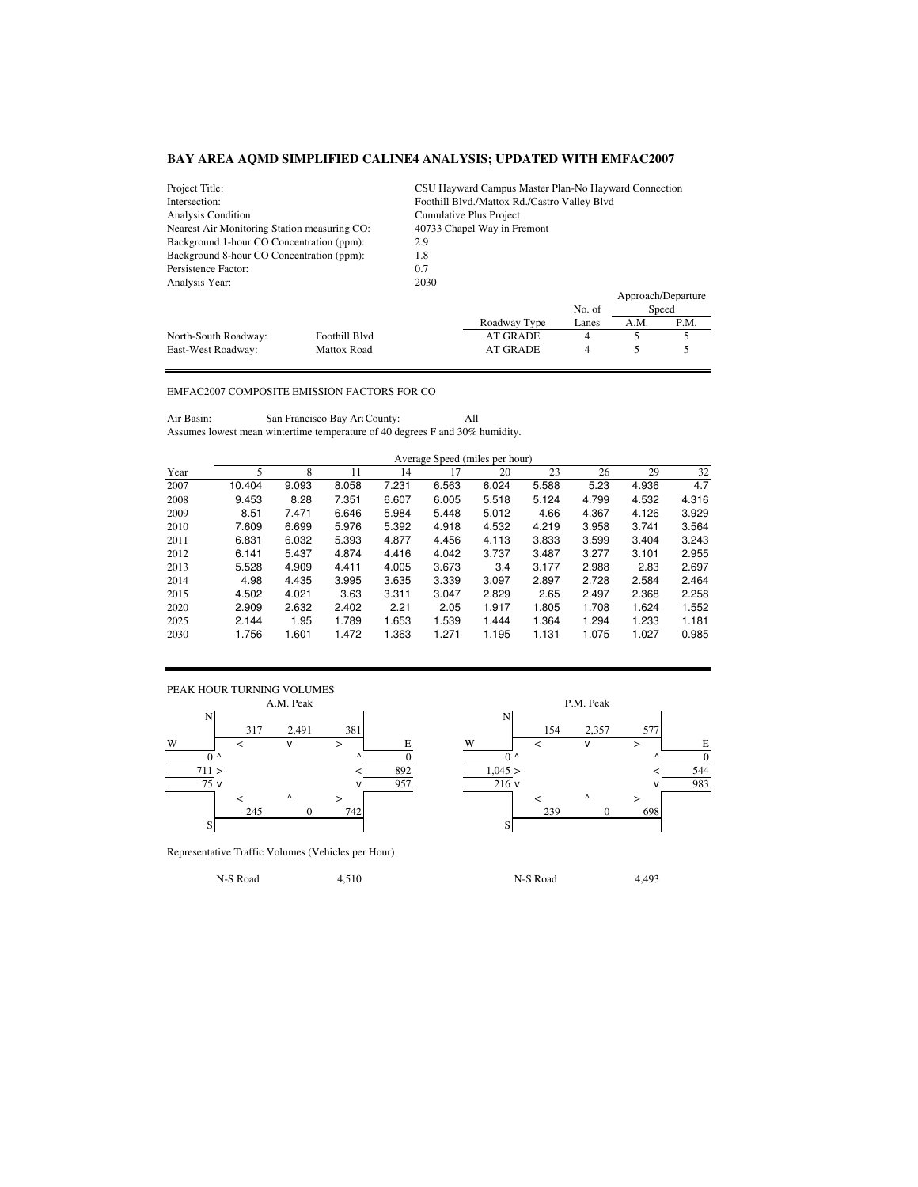| Project Title:                               |                    | CSU Hayward Campus Master Plan-No Hayward Connection |                 |        |      |                    |  |  |  |
|----------------------------------------------|--------------------|------------------------------------------------------|-----------------|--------|------|--------------------|--|--|--|
| Intersection:                                |                    | Foothill Blvd./Mattox Rd./Castro Valley Blvd         |                 |        |      |                    |  |  |  |
| Analysis Condition:                          |                    | Cumulative Plus Project                              |                 |        |      |                    |  |  |  |
| Nearest Air Monitoring Station measuring CO: |                    | 40733 Chapel Way in Fremont                          |                 |        |      |                    |  |  |  |
| Background 1-hour CO Concentration (ppm):    |                    | 2.9                                                  |                 |        |      |                    |  |  |  |
| Background 8-hour CO Concentration (ppm):    |                    | 1.8                                                  |                 |        |      |                    |  |  |  |
| Persistence Factor:                          |                    | 0.7                                                  |                 |        |      |                    |  |  |  |
| Analysis Year:                               |                    | 2030                                                 |                 |        |      |                    |  |  |  |
|                                              |                    |                                                      |                 |        |      | Approach/Departure |  |  |  |
|                                              |                    |                                                      |                 | No. of |      | Speed              |  |  |  |
|                                              |                    |                                                      | Roadway Type    | Lanes  | A.M. | P.M.               |  |  |  |
| North-South Roadway:                         | Foothill Blvd      |                                                      | <b>AT GRADE</b> | 4      | 5    | 5                  |  |  |  |
| East-West Roadway:                           | <b>Mattox Road</b> | <b>AT GRADE</b><br>4                                 |                 |        |      |                    |  |  |  |

## EMFAC2007 COMPOSITE EMISSION FACTORS FOR CO

Air Basin: San Francisco Bay Are County: All Assumes lowest mean wintertime temperature of 40 degrees F and 30% humidity.

|      | Average Speed (miles per hour) |       |       |       |       |       |       |       |       |       |  |
|------|--------------------------------|-------|-------|-------|-------|-------|-------|-------|-------|-------|--|
| Year | 5                              | 8     | 11    | 14    | 17    | 20    | 23    | 26    | 29    | 32    |  |
| 2007 | 10.404                         | 9.093 | 8.058 | 7.231 | 6.563 | 6.024 | 5.588 | 5.23  | 4.936 | 4.7   |  |
| 2008 | 9.453                          | 8.28  | 7.351 | 6.607 | 6.005 | 5.518 | 5.124 | 4.799 | 4.532 | 4.316 |  |
| 2009 | 8.51                           | 7.471 | 6.646 | 5.984 | 5.448 | 5.012 | 4.66  | 4.367 | 4.126 | 3.929 |  |
| 2010 | 7.609                          | 6.699 | 5.976 | 5.392 | 4.918 | 4.532 | 4.219 | 3.958 | 3.741 | 3.564 |  |
| 2011 | 6.831                          | 6.032 | 5.393 | 4.877 | 4.456 | 4.113 | 3.833 | 3.599 | 3.404 | 3.243 |  |
| 2012 | 6.141                          | 5.437 | 4.874 | 4.416 | 4.042 | 3.737 | 3.487 | 3.277 | 3.101 | 2.955 |  |
| 2013 | 5.528                          | 4.909 | 4.411 | 4.005 | 3.673 | 3.4   | 3.177 | 2.988 | 2.83  | 2.697 |  |
| 2014 | 4.98                           | 4.435 | 3.995 | 3.635 | 3.339 | 3.097 | 2.897 | 2.728 | 2.584 | 2.464 |  |
| 2015 | 4.502                          | 4.021 | 3.63  | 3.311 | 3.047 | 2.829 | 2.65  | 2.497 | 2.368 | 2.258 |  |
| 2020 | 2.909                          | 2.632 | 2.402 | 2.21  | 2.05  | 1.917 | 1.805 | 1.708 | 1.624 | 1.552 |  |
| 2025 | 2.144                          | 1.95  | 1.789 | 1.653 | 1.539 | 1.444 | 1.364 | 1.294 | 1.233 | 1.181 |  |
| 2030 | 1.756                          | 1.601 | 1.472 | 1.363 | 1.271 | 1.195 | 1.131 | 1.075 | 1.027 | 0.985 |  |



Representative Traffic Volumes (Vehicles per Hour)

P.M. Peak N 317 2,491 381 154 2,357 577 W < v > E W < v > E 0 ^ ^ 0 0 ^ ^ 0  $711 >$   $<$   $892$   $1,045 >$   $<$   $544$  $\sqrt{957}$  v 983 < ^ > < ^ > 245 0 742 239 0 698

N-S Road 4,510 N-S Road 4,493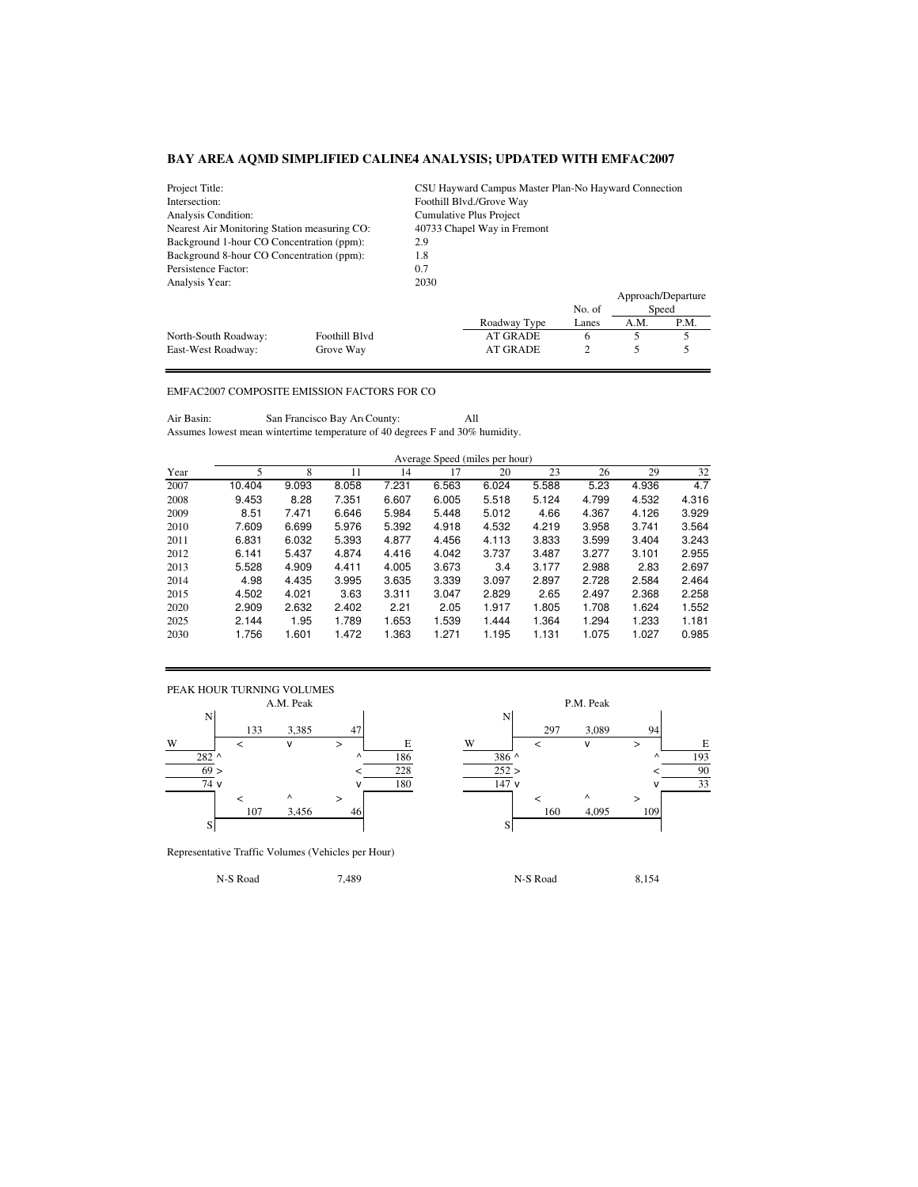| Project Title:                               |               | CSU Hayward Campus Master Plan-No Hayward Connection |                         |        |      |                    |  |  |  |  |  |
|----------------------------------------------|---------------|------------------------------------------------------|-------------------------|--------|------|--------------------|--|--|--|--|--|
| Intersection:                                |               | Foothill Blvd./Grove Way                             |                         |        |      |                    |  |  |  |  |  |
| Analysis Condition:                          |               |                                                      | Cumulative Plus Project |        |      |                    |  |  |  |  |  |
| Nearest Air Monitoring Station measuring CO: |               | 40733 Chapel Way in Fremont                          |                         |        |      |                    |  |  |  |  |  |
| Background 1-hour CO Concentration (ppm):    |               | 2.9                                                  |                         |        |      |                    |  |  |  |  |  |
| Background 8-hour CO Concentration (ppm):    |               | 1.8                                                  |                         |        |      |                    |  |  |  |  |  |
| Persistence Factor:                          |               | 0.7                                                  |                         |        |      |                    |  |  |  |  |  |
| Analysis Year:                               |               | 2030                                                 |                         |        |      |                    |  |  |  |  |  |
|                                              |               |                                                      |                         |        |      | Approach/Departure |  |  |  |  |  |
|                                              |               |                                                      |                         | No. of |      | Speed              |  |  |  |  |  |
|                                              |               |                                                      | Roadway Type            | Lanes  | A.M. | P.M.               |  |  |  |  |  |
| North-South Roadway:                         | Foothill Blvd |                                                      | <b>AT GRADE</b>         | 6      | 5    | 5                  |  |  |  |  |  |
| East-West Roadway:                           | Grove Way     | <b>AT GRADE</b><br>$\overline{c}$                    |                         |        |      |                    |  |  |  |  |  |

## EMFAC2007 COMPOSITE EMISSION FACTORS FOR CO

Air Basin: San Francisco Bay Art County: All Assumes lowest mean wintertime temperature of 40 degrees F and 30% humidity.

|      | Average Speed (miles per hour) |       |       |       |       |       |       |       |       |       |  |
|------|--------------------------------|-------|-------|-------|-------|-------|-------|-------|-------|-------|--|
| Year |                                | 8     | 11    | 14    | 17    | 20    | 23    | 26    | 29    | 32    |  |
| 2007 | 10.404                         | 9.093 | 8.058 | 7.231 | 6.563 | 6.024 | 5.588 | 5.23  | 4.936 | 4.7   |  |
| 2008 | 9.453                          | 8.28  | 7.351 | 6.607 | 6.005 | 5.518 | 5.124 | 4.799 | 4.532 | 4.316 |  |
| 2009 | 8.51                           | 7.471 | 6.646 | 5.984 | 5.448 | 5.012 | 4.66  | 4.367 | 4.126 | 3.929 |  |
| 2010 | 7.609                          | 6.699 | 5.976 | 5.392 | 4.918 | 4.532 | 4.219 | 3.958 | 3.741 | 3.564 |  |
| 2011 | 6.831                          | 6.032 | 5.393 | 4.877 | 4.456 | 4.113 | 3.833 | 3.599 | 3.404 | 3.243 |  |
| 2012 | 6.141                          | 5.437 | 4.874 | 4.416 | 4.042 | 3.737 | 3.487 | 3.277 | 3.101 | 2.955 |  |
| 2013 | 5.528                          | 4.909 | 4.411 | 4.005 | 3.673 | 3.4   | 3.177 | 2.988 | 2.83  | 2.697 |  |
| 2014 | 4.98                           | 4.435 | 3.995 | 3.635 | 3.339 | 3.097 | 2.897 | 2.728 | 2.584 | 2.464 |  |
| 2015 | 4.502                          | 4.021 | 3.63  | 3.311 | 3.047 | 2.829 | 2.65  | 2.497 | 2.368 | 2.258 |  |
| 2020 | 2.909                          | 2.632 | 2.402 | 2.21  | 2.05  | 1.917 | 1.805 | 1.708 | 1.624 | 1.552 |  |

2025 2.144 1.95 1.789 1.653 1.539 1.444 1.364 1.294 1.233 1.181 2030 1.756 1.601 1.472 1.363 1.271 1.195 1.131 1.075 1.027 0.985



Representative Traffic Volumes (Vehicles per Hour)

P.M. Peak N 133 3,385 47 297 3,089 94 W < v > E W < v > E  $282$  ^ 186 386 ^ 193  $69 >$   $<$   $228$   $252 >$   $<$   $90$  $\sqrt{180}$  v  $\sqrt{180}$  147 v  $\sqrt{33}$ < ^ > < ^ > 107 3,456 46 160 4,095 109

N-S Road 6,154 and 7,489 1.54 and 7,489 1.54 and 7,489 1.54 and 7,489 1.54 and 7,489 1.54 and 7,489 1.54 and 7,489 1.54 and 7,489 1.54 and 7,489 1.54 and 7,489 1.54 and 7,489 1.54 and 7,489 1.54 and 7,56 and 7,489 1.54 and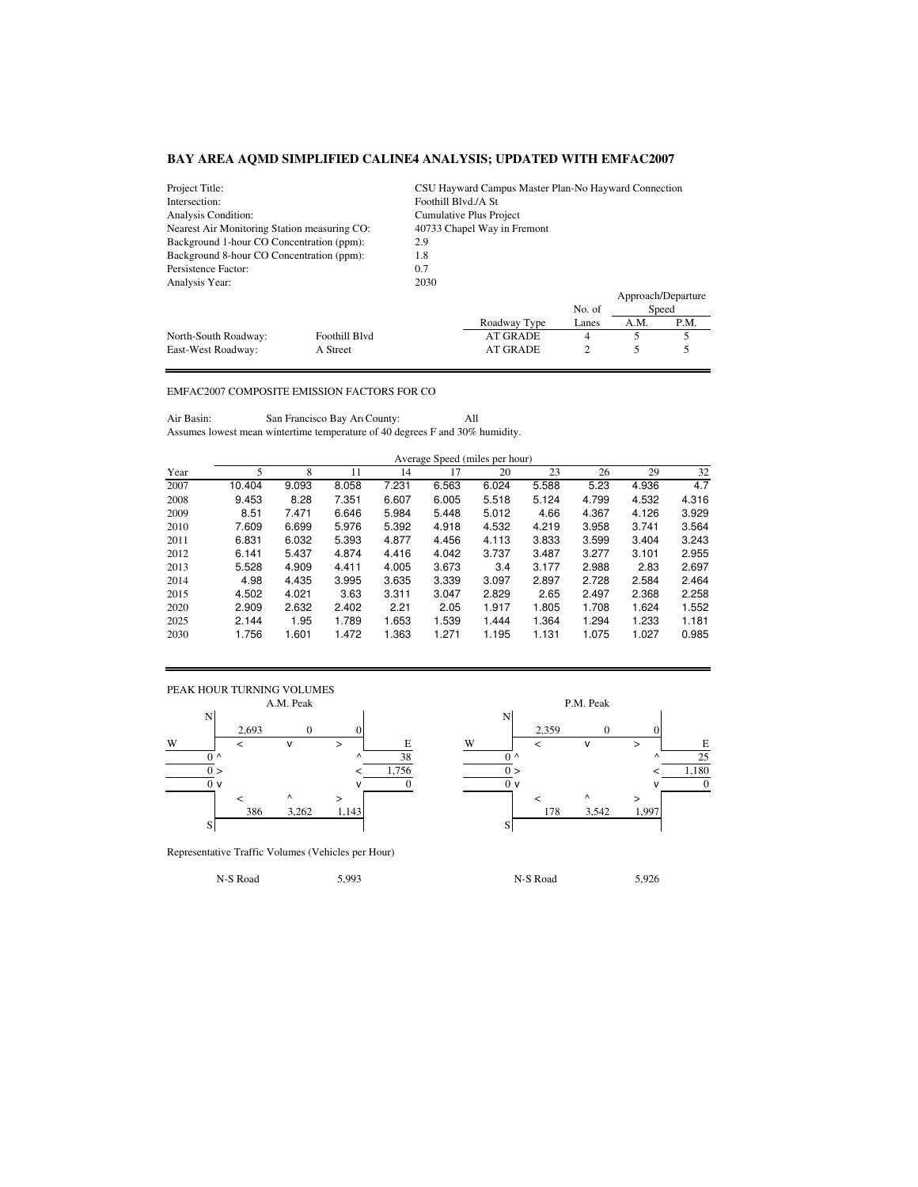| Project Title:                               |               | CSU Hayward Campus Master Plan-No Hayward Connection |                         |        |      |                    |  |  |  |
|----------------------------------------------|---------------|------------------------------------------------------|-------------------------|--------|------|--------------------|--|--|--|
| Intersection:                                |               | Foothill Blvd./A St                                  |                         |        |      |                    |  |  |  |
| Analysis Condition:                          |               |                                                      | Cumulative Plus Project |        |      |                    |  |  |  |
| Nearest Air Monitoring Station measuring CO: |               | 40733 Chapel Way in Fremont                          |                         |        |      |                    |  |  |  |
| Background 1-hour CO Concentration (ppm):    |               | 2.9                                                  |                         |        |      |                    |  |  |  |
| Background 8-hour CO Concentration (ppm):    |               | 1.8                                                  |                         |        |      |                    |  |  |  |
| Persistence Factor:                          |               | 0.7                                                  |                         |        |      |                    |  |  |  |
| Analysis Year:                               |               | 2030                                                 |                         |        |      |                    |  |  |  |
|                                              |               |                                                      |                         |        |      | Approach/Departure |  |  |  |
|                                              |               |                                                      |                         | No. of |      | Speed              |  |  |  |
|                                              |               |                                                      | Roadway Type            | Lanes  | A.M. | P.M.               |  |  |  |
| North-South Roadway:                         | Foothill Blvd |                                                      | <b>AT GRADE</b>         | 4      |      | 5                  |  |  |  |
| East-West Roadway:                           | A Street      | $\overline{c}$<br><b>AT GRADE</b>                    |                         |        |      |                    |  |  |  |

## EMFAC2007 COMPOSITE EMISSION FACTORS FOR CO

Air Basin: San Francisco Bay Are County: All Assumes lowest mean wintertime temperature of 40 degrees F and 30% humidity.

|      | Average Speed (miles per hour) |       |       |       |       |       |       |       |       |       |
|------|--------------------------------|-------|-------|-------|-------|-------|-------|-------|-------|-------|
| Year |                                |       |       | 14    |       | 20    | 23    | 26    | 29    | 32    |
| 2007 | 10.404                         | 9.093 | 8.058 | 7.231 | 6.563 | 6.024 | 5.588 | 5.23  | 4.936 | 4.7   |
| 2008 | 9.453                          | 8.28  | 7.351 | 6.607 | 6.005 | 5.518 | 5.124 | 4.799 | 4.532 | 4.316 |
| 2009 | 8.51                           | 7.471 | 6.646 | 5.984 | 5.448 | 5.012 | 4.66  | 4.367 | 4.126 | 3.929 |
| 2010 | 7.609                          | 6.699 | 5.976 | 5.392 | 4.918 | 4.532 | 4.219 | 3.958 | 3.741 | 3.564 |

| 2010 | 7.609 | 6.699 | 5.976 | 5.392 | 4.918 | 4.532 | 4.219 | 3.958 | 3.741 | 3.564 |
|------|-------|-------|-------|-------|-------|-------|-------|-------|-------|-------|
| 2011 | 6.831 | 6.032 | 5.393 | 4.877 | 4.456 | 4.113 | 3.833 | 3.599 | 3.404 | 3.243 |
| 2012 | 6.141 | 5.437 | 4.874 | 4.416 | 4.042 | 3.737 | 3.487 | 3.277 | 3.101 | 2.955 |
| 2013 | 5.528 | 4.909 | 4.411 | 4.005 | 3.673 | 3.4   | 3.177 | 2.988 | 2.83  | 2.697 |
| 2014 | 4.98  | 4.435 | 3.995 | 3.635 | 3.339 | 3.097 | 2.897 | 2.728 | 2.584 | 2.464 |
| 2015 | 4.502 | 4.021 | 3.63  | 3.311 | 3.047 | 2.829 | 2.65  | 2.497 | 2.368 | 2.258 |
| 2020 | 2.909 | 2.632 | 2.402 | 2.21  | 2.05  | 1.917 | 1.805 | 1.708 | 1.624 | 1.552 |
| 2025 | 2.144 | 1.95  | 1.789 | 1.653 | .539  | .444  | 1.364 | 1.294 | 1.233 | 1.181 |
| 2030 | 1.756 | 1.601 | 1.472 | .363  | .271  | .195  | 1.131 | 1.075 | 1.027 | 0.985 |



Representative Traffic Volumes (Vehicles per Hour)

N-S Road 5,993 N-S Road 5,926

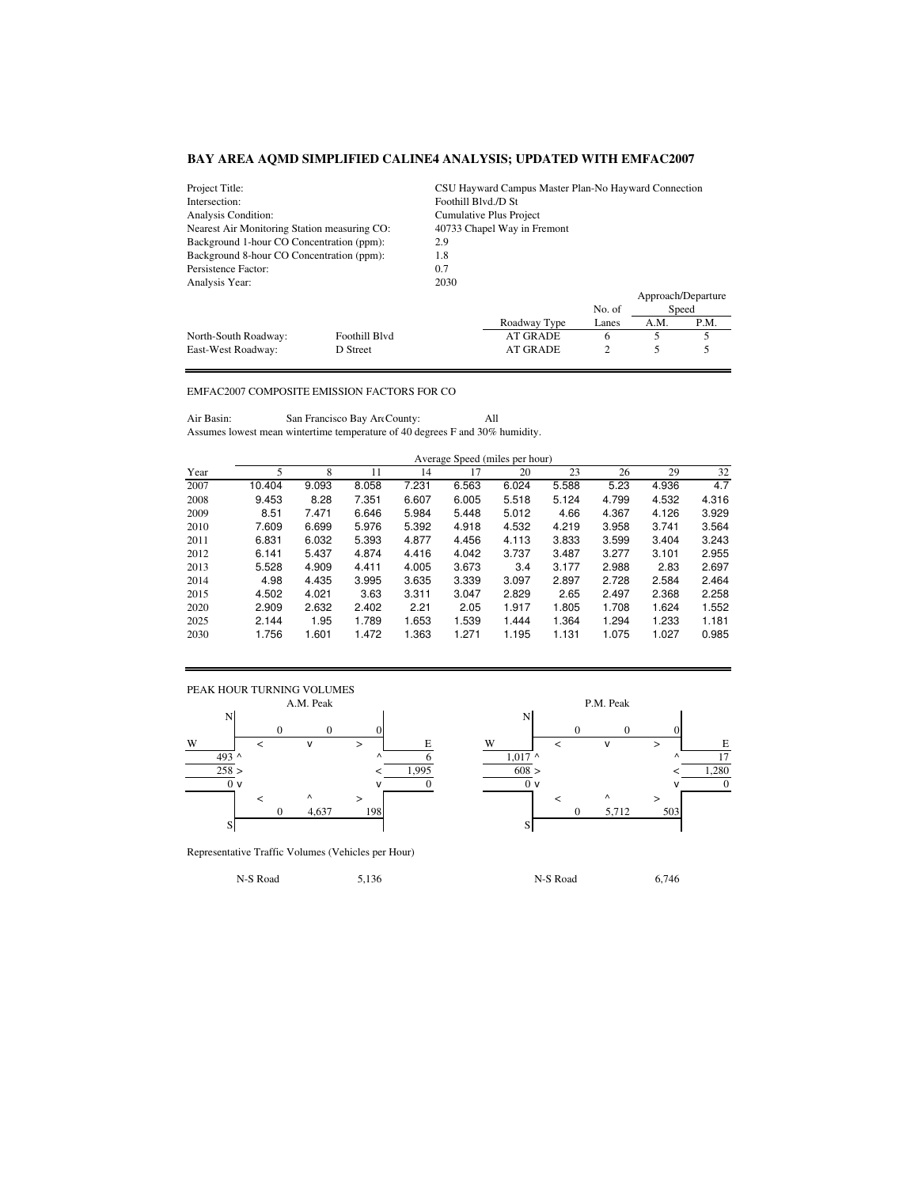| CSU Hayward Campus Master Plan-No Hayward Connection<br>Project Title: |                                  |                             |              |        |                    |      |  |
|------------------------------------------------------------------------|----------------------------------|-----------------------------|--------------|--------|--------------------|------|--|
| Intersection:                                                          |                                  | Foothill Blvd./D St         |              |        |                    |      |  |
| Analysis Condition:                                                    |                                  | Cumulative Plus Project     |              |        |                    |      |  |
| Nearest Air Monitoring Station measuring CO:                           |                                  | 40733 Chapel Way in Fremont |              |        |                    |      |  |
| Background 1-hour CO Concentration (ppm):                              |                                  | 2.9                         |              |        |                    |      |  |
| Background 8-hour CO Concentration (ppm):                              |                                  | 1.8                         |              |        |                    |      |  |
| Persistence Factor:                                                    | 0.7                              |                             |              |        |                    |      |  |
| Analysis Year:                                                         |                                  | 2030                        |              |        |                    |      |  |
|                                                                        |                                  |                             |              |        | Approach/Departure |      |  |
|                                                                        |                                  |                             |              | No. of | Speed              |      |  |
|                                                                        |                                  |                             | Roadway Type | Lanes  | A.M.               | P.M. |  |
| North-South Roadway:                                                   | Foothill Blvd                    |                             | AT GRADE     | 6      |                    |      |  |
| East-West Roadway:                                                     | 2<br><b>AT GRADE</b><br>D Street |                             |              |        |                    |      |  |

## EMFAC2007 COMPOSITE EMISSION FACTORS FOR CO

Air Basin: San Francisco Bay Are County: All Assumes lowest mean wintertime temperature of 40 degrees F and 30% humidity.

|      |        |       |       |       | Average Speed (miles per hour) |       |       |       |       |       |
|------|--------|-------|-------|-------|--------------------------------|-------|-------|-------|-------|-------|
| Year | 5      | 8     | 11    | 14    | 17                             | 20    | 23    | 26    | 29    | 32    |
| 2007 | 10.404 | 9.093 | 8.058 | 7.231 | 6.563                          | 6.024 | 5.588 | 5.23  | 4.936 | 4.7   |
| 2008 | 9.453  | 8.28  | 7.351 | 6.607 | 6.005                          | 5.518 | 5.124 | 4.799 | 4.532 | 4.316 |
| 2009 | 8.51   | 7.471 | 6.646 | 5.984 | 5.448                          | 5.012 | 4.66  | 4.367 | 4.126 | 3.929 |
| 2010 | 7.609  | 6.699 | 5.976 | 5.392 | 4.918                          | 4.532 | 4.219 | 3.958 | 3.741 | 3.564 |
| 2011 | 6.831  | 6.032 | 5.393 | 4.877 | 4.456                          | 4.113 | 3.833 | 3.599 | 3.404 | 3.243 |
| 2012 | 6.141  | 5.437 | 4.874 | 4.416 | 4.042                          | 3.737 | 3.487 | 3.277 | 3.101 | 2.955 |
| 2013 | 5.528  | 4.909 | 4.411 | 4.005 | 3.673                          | 3.4   | 3.177 | 2.988 | 2.83  | 2.697 |
| 2014 | 4.98   | 4.435 | 3.995 | 3.635 | 3.339                          | 3.097 | 2.897 | 2.728 | 2.584 | 2.464 |
| 2015 | 4.502  | 4.021 | 3.63  | 3.311 | 3.047                          | 2.829 | 2.65  | 2.497 | 2.368 | 2.258 |
| 2020 | 2.909  | 2.632 | 2.402 | 2.21  | 2.05                           | 1.917 | 1.805 | 1.708 | 1.624 | 1.552 |
| 2025 | 2.144  | 1.95  | 1.789 | 1.653 | 1.539                          | 1.444 | 1.364 | 1.294 | 1.233 | 1.181 |
| 2030 | 1.756  | 1.601 | 1.472 | 1.363 | 1.271                          | 1.195 | 1.131 | 1.075 | 1.027 | 0.985 |



Representative Traffic Volumes (Vehicles per Hour)

P.M. Peak  $0 \qquad 0 \qquad 0$ 493 ^  $\sim$  6 1,017 ^  $\sim$  17 258 > < 1,995 608 > < 1,280  $\overline{0}$  v  $\overline{0}$  v  $\overline{0}$  v  $\overline{0}$  v  $\overline{0}$  v  $\overline{0}$  v  $\overline{0}$ 0 4,637 198 0 5,712 503

N-S Road 6,746 5,136 19 N-S Road 6,746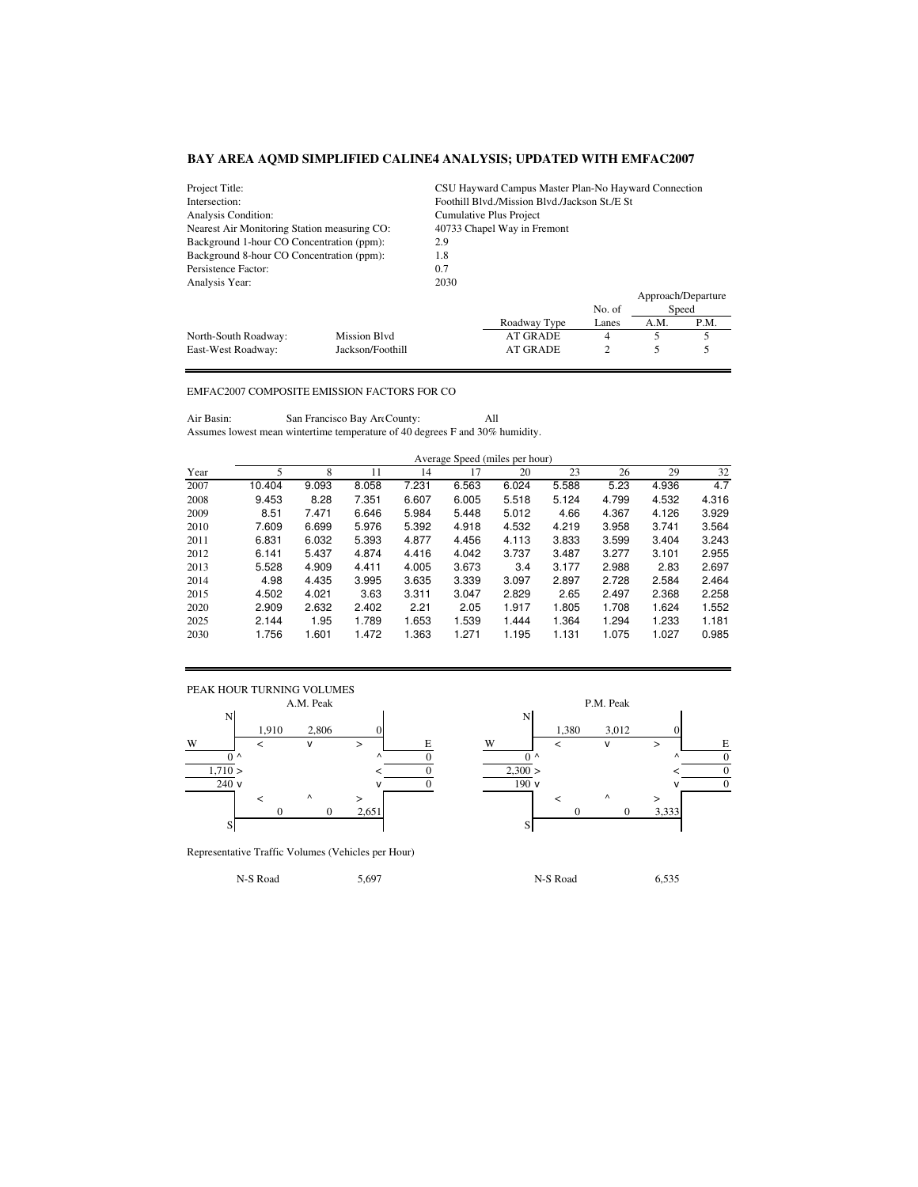| Project Title:<br>CSU Hayward Campus Master Plan-No Hayward Connection |                  |                             |                                                |        |      |                    |  |  |
|------------------------------------------------------------------------|------------------|-----------------------------|------------------------------------------------|--------|------|--------------------|--|--|
| Intersection:                                                          |                  |                             | Foothill Blyd./Mission Blyd./Jackson St./E St. |        |      |                    |  |  |
| Analysis Condition:                                                    |                  |                             | Cumulative Plus Project                        |        |      |                    |  |  |
| Nearest Air Monitoring Station measuring CO:                           |                  | 40733 Chapel Way in Fremont |                                                |        |      |                    |  |  |
| Background 1-hour CO Concentration (ppm):                              |                  | 2.9                         |                                                |        |      |                    |  |  |
| Background 8-hour CO Concentration (ppm):                              |                  | 1.8                         |                                                |        |      |                    |  |  |
| Persistence Factor:                                                    |                  | 0.7                         |                                                |        |      |                    |  |  |
| Analysis Year:                                                         |                  | 2030                        |                                                |        |      |                    |  |  |
|                                                                        |                  |                             |                                                |        |      | Approach/Departure |  |  |
|                                                                        |                  |                             |                                                | No. of |      | Speed              |  |  |
|                                                                        |                  |                             | Roadway Type                                   | Lanes  | A.M. | P.M.               |  |  |
| North-South Roadway:                                                   | Mission Blvd     |                             | <b>AT GRADE</b>                                | 4      |      |                    |  |  |
| East-West Roadway:                                                     | Jackson/Foothill | 2<br><b>AT GRADE</b>        |                                                |        |      |                    |  |  |

## EMFAC2007 COMPOSITE EMISSION FACTORS FOR CO

Air Basin: San Francisco Bay Are County: All Assumes lowest mean wintertime temperature of 40 degrees F and 30% humidity.

|      |        |       |       |       | Average Speed (miles per hour) |       |       |       |       |       |
|------|--------|-------|-------|-------|--------------------------------|-------|-------|-------|-------|-------|
| Year | 5      | 8     | 11    | 14    | 17                             | 20    | 23    | 26    | 29    | 32    |
| 2007 | 10.404 | 9.093 | 8.058 | 7.231 | 6.563                          | 6.024 | 5.588 | 5.23  | 4.936 | 4.7   |
| 2008 | 9.453  | 8.28  | 7.351 | 6.607 | 6.005                          | 5.518 | 5.124 | 4.799 | 4.532 | 4.316 |
| 2009 | 8.51   | 7.471 | 6.646 | 5.984 | 5.448                          | 5.012 | 4.66  | 4.367 | 4.126 | 3.929 |
| 2010 | 7.609  | 6.699 | 5.976 | 5.392 | 4.918                          | 4.532 | 4.219 | 3.958 | 3.741 | 3.564 |
| 2011 | 6.831  | 6.032 | 5.393 | 4.877 | 4.456                          | 4.113 | 3.833 | 3.599 | 3.404 | 3.243 |
| 2012 | 6.141  | 5.437 | 4.874 | 4.416 | 4.042                          | 3.737 | 3.487 | 3.277 | 3.101 | 2.955 |
| 2013 | 5.528  | 4.909 | 4.411 | 4.005 | 3.673                          | 3.4   | 3.177 | 2.988 | 2.83  | 2.697 |
| 2014 | 4.98   | 4.435 | 3.995 | 3.635 | 3.339                          | 3.097 | 2.897 | 2.728 | 2.584 | 2.464 |
| 2015 | 4.502  | 4.021 | 3.63  | 3.311 | 3.047                          | 2.829 | 2.65  | 2.497 | 2.368 | 2.258 |
| 2020 | 2.909  | 2.632 | 2.402 | 2.21  | 2.05                           | 1.917 | 1.805 | 1.708 | 1.624 | 1.552 |
| 2025 | 2.144  | 1.95  | 1.789 | 1.653 | 1.539                          | 1.444 | 1.364 | 1.294 | 1.233 | 1.181 |
| 2030 | 1.756  | 1.601 | 1.472 | 1.363 | 1.271                          | 1.195 | 1.131 | 1.075 | 1.027 | 0.985 |



Representative Traffic Volumes (Vehicles per Hour)

1,910 2,806 0 1,380 3,012 0  $0 \wedge$   $0 \wedge$  0  $0 \wedge$   $0 \wedge$   $0 \wedge$  0  $0 \wedge$  0  $1,710 >$   $<$  0  $2,300 >$   $<$  0  $\sqrt{ }$  0  $\sqrt{ }$  0  $\sqrt{ }$  0  $\sqrt{ }$  0  $\sqrt{ }$  0  $\sqrt{ }$  0 0 0 2,651 0 0 3,333

N-S Road 6,535 5,697 1 N-S Road 6,535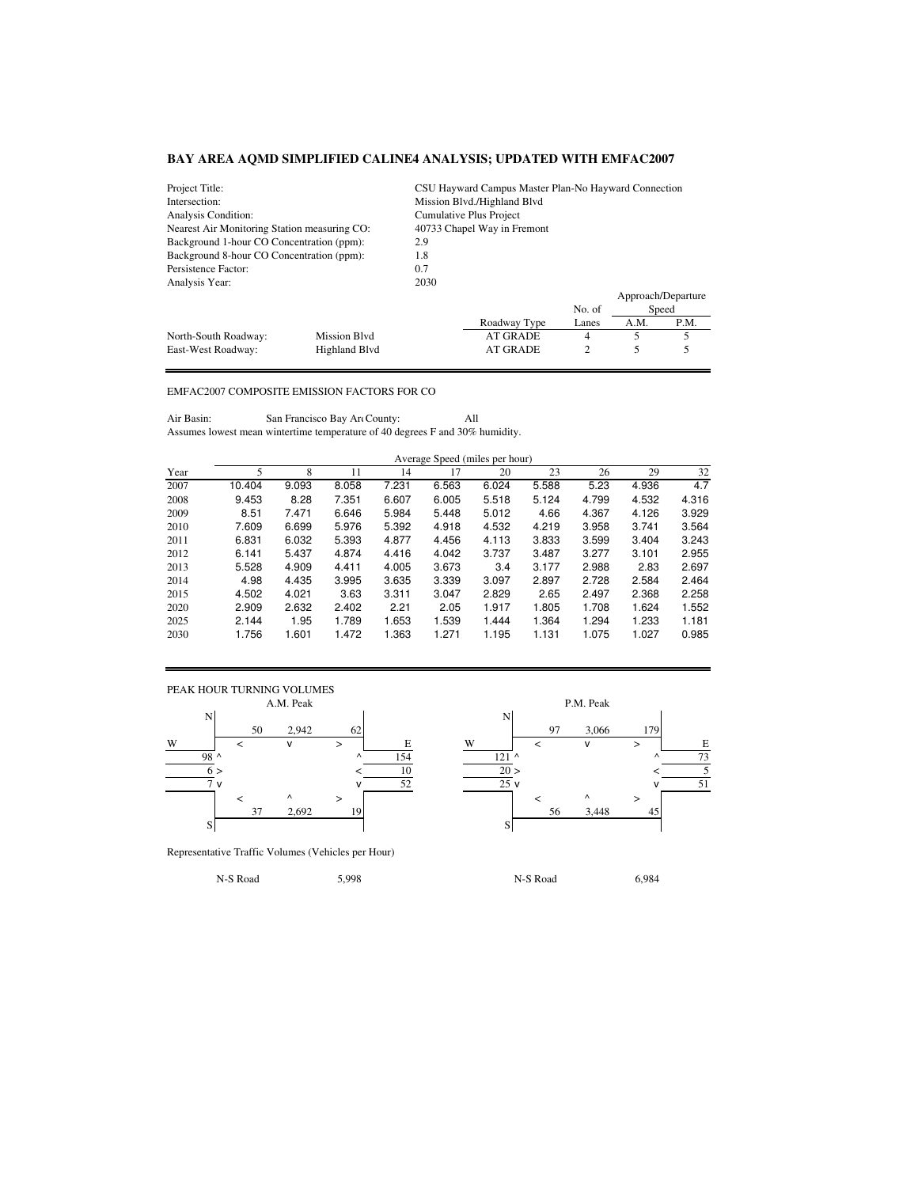| Project Title:                               |                     | CSU Hayward Campus Master Plan-No Hayward Connection |                             |        |      |                    |  |  |
|----------------------------------------------|---------------------|------------------------------------------------------|-----------------------------|--------|------|--------------------|--|--|
| Intersection:                                |                     |                                                      | Mission Blvd./Highland Blvd |        |      |                    |  |  |
| Analysis Condition:                          |                     |                                                      | Cumulative Plus Project     |        |      |                    |  |  |
| Nearest Air Monitoring Station measuring CO: |                     | 40733 Chapel Way in Fremont                          |                             |        |      |                    |  |  |
| Background 1-hour CO Concentration (ppm):    |                     | 2.9                                                  |                             |        |      |                    |  |  |
| Background 8-hour CO Concentration (ppm):    |                     | 1.8                                                  |                             |        |      |                    |  |  |
| 0.7<br>Persistence Factor:                   |                     |                                                      |                             |        |      |                    |  |  |
| Analysis Year:                               |                     | 2030                                                 |                             |        |      |                    |  |  |
|                                              |                     |                                                      |                             |        |      | Approach/Departure |  |  |
|                                              |                     |                                                      |                             | No. of |      | Speed              |  |  |
|                                              |                     |                                                      | Roadway Type                | Lanes  | A.M. | P.M.               |  |  |
| North-South Roadway:                         | <b>Mission Blvd</b> |                                                      | <b>AT GRADE</b>             | 4      | 5    | 5                  |  |  |
| East-West Roadway:                           | Highland Blyd       | $\overline{c}$<br><b>AT GRADE</b>                    |                             |        |      |                    |  |  |

## EMFAC2007 COMPOSITE EMISSION FACTORS FOR CO

Air Basin: San Francisco Bay Are County: All Assumes lowest mean wintertime temperature of 40 degrees F and 30% humidity.

|      |        | Average Speed (miles per hour) |       |       |       |       |       |       |       |       |  |  |
|------|--------|--------------------------------|-------|-------|-------|-------|-------|-------|-------|-------|--|--|
| Year | 5      | 8                              | 11    | 14    | 17    | 20    | 23    | 26    | 29    | 32    |  |  |
| 2007 | 10.404 | 9.093                          | 8.058 | 7.231 | 6.563 | 6.024 | 5.588 | 5.23  | 4.936 | 4.7   |  |  |
| 2008 | 9.453  | 8.28                           | 7.351 | 6.607 | 6.005 | 5.518 | 5.124 | 4.799 | 4.532 | 4.316 |  |  |
| 2009 | 8.51   | 7.471                          | 6.646 | 5.984 | 5.448 | 5.012 | 4.66  | 4.367 | 4.126 | 3.929 |  |  |
| 2010 | 7.609  | 6.699                          | 5.976 | 5.392 | 4.918 | 4.532 | 4.219 | 3.958 | 3.741 | 3.564 |  |  |
| 2011 | 6.831  | 6.032                          | 5.393 | 4.877 | 4.456 | 4.113 | 3.833 | 3.599 | 3.404 | 3.243 |  |  |
| 2012 | 6.141  | 5.437                          | 4.874 | 4.416 | 4.042 | 3.737 | 3.487 | 3.277 | 3.101 | 2.955 |  |  |
| 2013 | 5.528  | 4.909                          | 4.411 | 4.005 | 3.673 | 3.4   | 3.177 | 2.988 | 2.83  | 2.697 |  |  |
| 2014 | 4.98   | 4.435                          | 3.995 | 3.635 | 3.339 | 3.097 | 2.897 | 2.728 | 2.584 | 2.464 |  |  |
| 2015 | 4.502  | 4.021                          | 3.63  | 3.311 | 3.047 | 2.829 | 2.65  | 2.497 | 2.368 | 2.258 |  |  |
| 2020 | 2.909  | 2.632                          | 2.402 | 2.21  | 2.05  | 1.917 | 1.805 | 1.708 | 1.624 | 1.552 |  |  |
| 2025 | 2.144  | 1.95                           | 1.789 | 1.653 | 1.539 | 1.444 | 1.364 | 1.294 | 1.233 | 1.181 |  |  |
| 2030 | 1.756  | 1.601                          | 1.472 | 1.363 | 1.271 | 1.195 | 1.131 | 1.075 | 1.027 | 0.985 |  |  |



Representative Traffic Volumes (Vehicles per Hour)

N-S Road 5,998 N-S Road 6,984

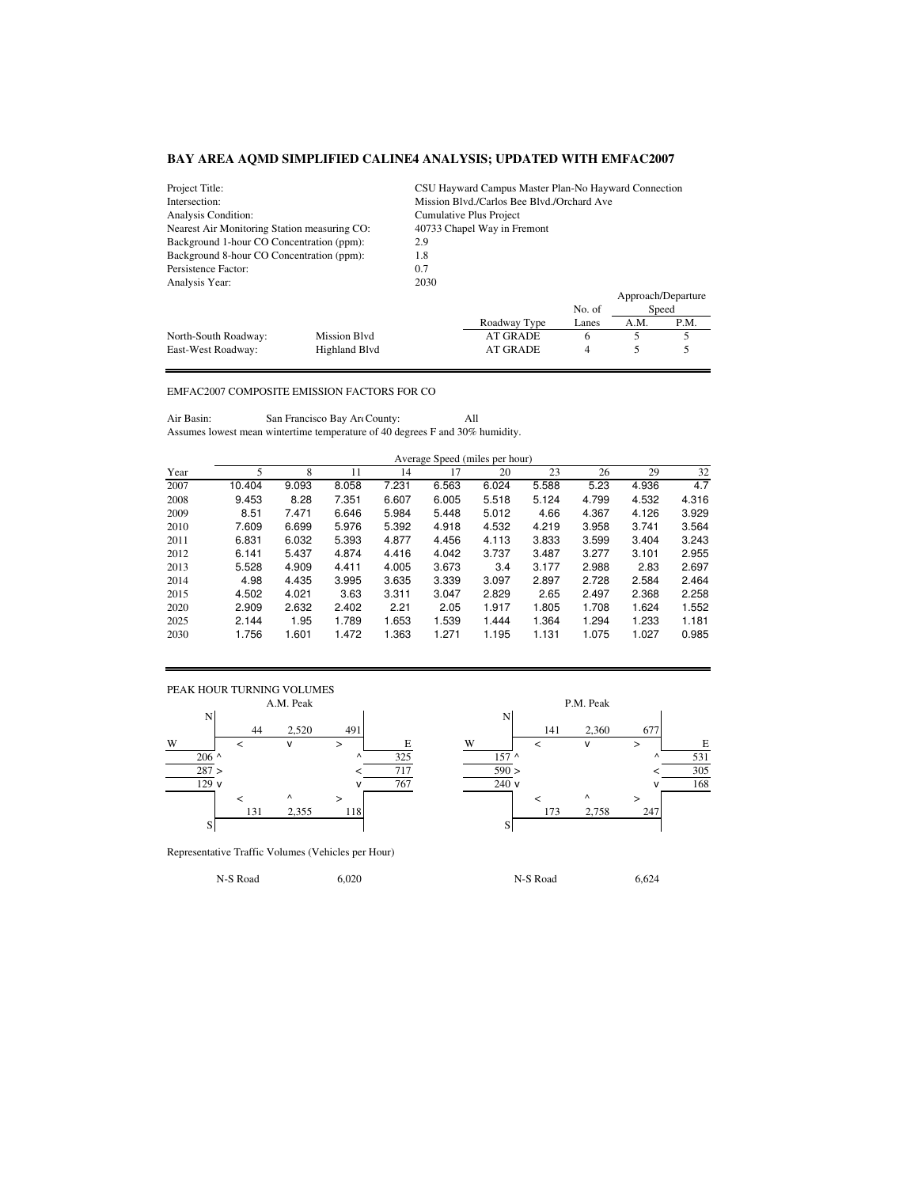| Project Title:<br>CSU Hayward Campus Master Plan-No Hayward Connection |                     |                             |                                            |        |      |                    |  |  |
|------------------------------------------------------------------------|---------------------|-----------------------------|--------------------------------------------|--------|------|--------------------|--|--|
| Intersection:                                                          |                     |                             | Mission Blvd./Carlos Bee Blvd./Orchard Ave |        |      |                    |  |  |
| Analysis Condition:                                                    |                     |                             | Cumulative Plus Project                    |        |      |                    |  |  |
| Nearest Air Monitoring Station measuring CO:                           |                     | 40733 Chapel Way in Fremont |                                            |        |      |                    |  |  |
| Background 1-hour CO Concentration (ppm):                              |                     | 2.9                         |                                            |        |      |                    |  |  |
| Background 8-hour CO Concentration (ppm):                              |                     | 1.8                         |                                            |        |      |                    |  |  |
| Persistence Factor:                                                    | 0.7                 |                             |                                            |        |      |                    |  |  |
| Analysis Year:                                                         |                     | 2030                        |                                            |        |      |                    |  |  |
|                                                                        |                     |                             |                                            |        |      | Approach/Departure |  |  |
|                                                                        |                     |                             |                                            | No. of |      | Speed              |  |  |
|                                                                        |                     |                             | Roadway Type                               | Lanes  | A.M. | P.M.               |  |  |
| North-South Roadway:                                                   | <b>Mission Blvd</b> |                             | <b>AT GRADE</b>                            | 6      | 5    | 5                  |  |  |
| East-West Roadway:                                                     | Highland Blyd       | <b>AT GRADE</b><br>4        |                                            |        |      |                    |  |  |

## EMFAC2007 COMPOSITE EMISSION FACTORS FOR CO

Air Basin: San Francisco Bay Art County: All Assumes lowest mean wintertime temperature of 40 degrees F and 30% humidity.

|      | Average Speed (miles per hour) |       |       |       |       |       |       |       |       |       |  |
|------|--------------------------------|-------|-------|-------|-------|-------|-------|-------|-------|-------|--|
| Year |                                | 8     | 11    | 14    | 17    | 20    | 23    | 26    | 29    | 32    |  |
| 2007 | 10.404                         | 9.093 | 8.058 | 7.231 | 6.563 | 6.024 | 5.588 | 5.23  | 4.936 | 4.7   |  |
| 2008 | 9.453                          | 8.28  | 7.351 | 6.607 | 6.005 | 5.518 | 5.124 | 4.799 | 4.532 | 4.316 |  |
| 2009 | 8.51                           | 7.471 | 6.646 | 5.984 | 5.448 | 5.012 | 4.66  | 4.367 | 4.126 | 3.929 |  |
| 2010 | 7.609                          | 6.699 | 5.976 | 5.392 | 4.918 | 4.532 | 4.219 | 3.958 | 3.741 | 3.564 |  |
| 2011 | 6.831                          | 6.032 | 5.393 | 4.877 | 4.456 | 4.113 | 3.833 | 3.599 | 3.404 | 3.243 |  |
| 2012 | 6.141                          | 5.437 | 4.874 | 4.416 | 4.042 | 3.737 | 3.487 | 3.277 | 3.101 | 2.955 |  |
| 2013 | 5.528                          | 4.909 | 4.411 | 4.005 | 3.673 | 3.4   | 3.177 | 2.988 | 2.83  | 2.697 |  |
| 2014 | 4.98                           | 4.435 | 3.995 | 3.635 | 3.339 | 3.097 | 2.897 | 2.728 | 2.584 | 2.464 |  |
| 2015 | 4.502                          | 4.021 | 3.63  | 3.311 | 3.047 | 2.829 | 2.65  | 2.497 | 2.368 | 2.258 |  |

2020 2.909 2.632 2.402 2.21 2.05 1.917 1.805 1.708 1.624 1.552 2025 2.144 1.95 1.789 1.653 1.539 1.444 1.364 1.294 1.233 1.181 2030 1.756 1.601 1.472 1.363 1.271 1.195 1.131 1.075 1.027 0.985



Representative Traffic Volumes (Vehicles per Hour)

N-S Road 6,020 6,020 N-S Road 6,624

44 2,520 491 141 2,360 677 W < v > E W < v > E  $206$  ^ 325 157 ^ 157 ^ 157 ^ 157 ^ 157 ^ 157 ^ 157 ^ 157 ^ 157 ^ 157 ^ 157 ^ 157 ^ 157 ^ 157 ^ 157 ^ 157 ^ 157 ^ 158 0 287 > < 717 590 > < 305  $\sqrt{767}$  240 v  $\sqrt{168}$ < ^ > < ^ > 131 2,355 118 173 2,758 247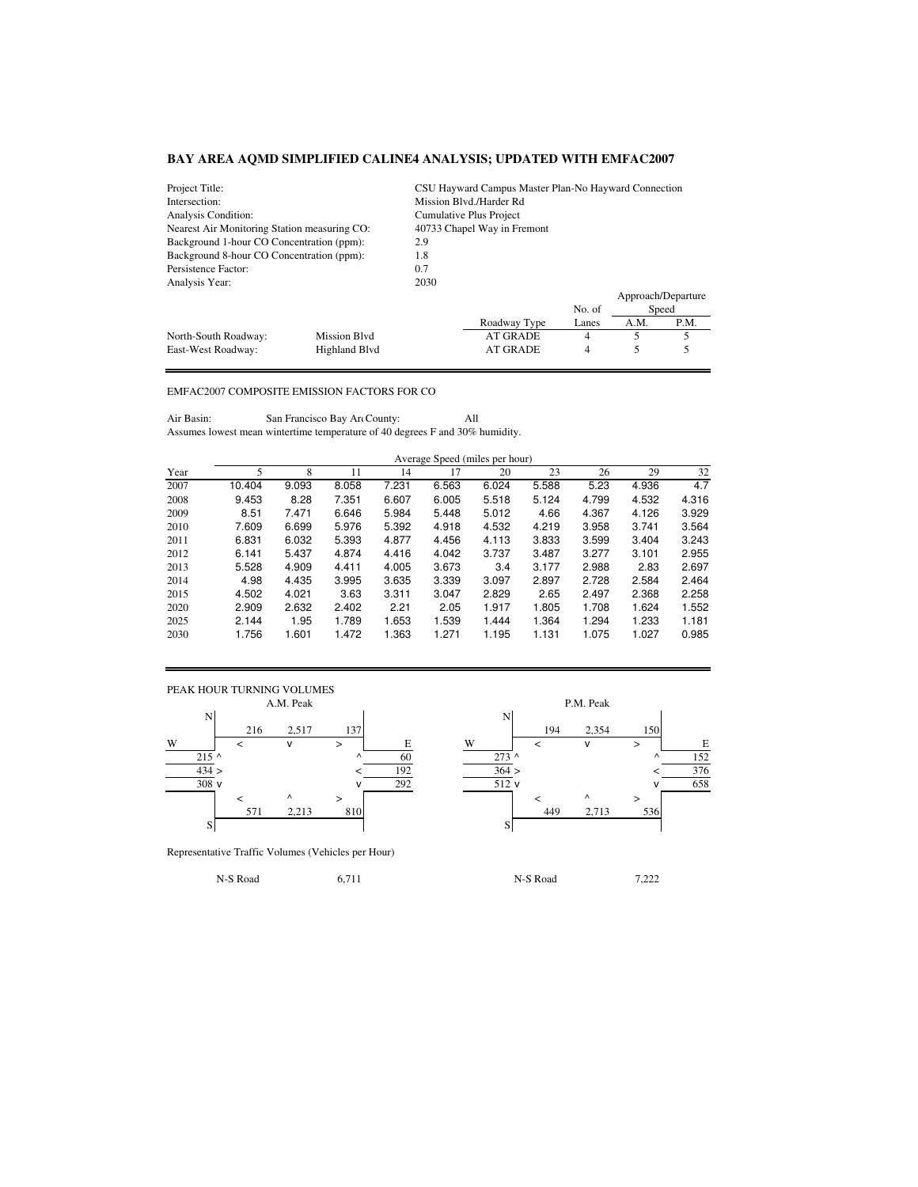| Project Title:                               | CSU Hayward Campus Master Plan-No Hayward Connection |                             |                         |        |      |                    |  |  |
|----------------------------------------------|------------------------------------------------------|-----------------------------|-------------------------|--------|------|--------------------|--|--|
| Intersection:                                |                                                      |                             | Mission Blvd./Harder Rd |        |      |                    |  |  |
| Analysis Condition:                          |                                                      |                             | Cumulative Plus Project |        |      |                    |  |  |
| Nearest Air Monitoring Station measuring CO: |                                                      | 40733 Chapel Way in Fremont |                         |        |      |                    |  |  |
| Background 1-hour CO Concentration (ppm):    |                                                      | 2.9                         |                         |        |      |                    |  |  |
| Background 8-hour CO Concentration (ppm):    |                                                      | 1.8                         |                         |        |      |                    |  |  |
| Persistence Factor:                          |                                                      | 0.7                         |                         |        |      |                    |  |  |
| Analysis Year:                               |                                                      | 2030                        |                         |        |      |                    |  |  |
|                                              |                                                      |                             |                         |        |      | Approach/Departure |  |  |
|                                              |                                                      |                             |                         | No. of |      | Speed              |  |  |
|                                              |                                                      |                             | Roadway Type            | Lanes  | A.M. | P.M.               |  |  |
| North-South Roadway:                         | <b>Mission Blvd</b>                                  |                             | <b>AT GRADE</b>         | 4      | 5    | 5                  |  |  |
| East-West Roadway:                           | Highland Blvd                                        | <b>AT GRADE</b><br>4        |                         |        |      |                    |  |  |

## EMFAC2007 COMPOSITE EMISSION FACTORS FOR CO

Air Basin: San Francisco Bay Are County: All Assumes lowest mean wintertime temperature of 40 degrees F and 30% humidity.

|      | Average Speed (miles per hour) |       |       |        |       |       |       |       |       |       |
|------|--------------------------------|-------|-------|--------|-------|-------|-------|-------|-------|-------|
| Year |                                |       |       |        |       | 20    | 23    | 26    | 29    | 32    |
| 2007 | 10.404                         | 9.093 | 8.058 | 7.231  | 6.563 | 6.024 | 5.588 | 5.23  | 4.936 | 4.7   |
| 2008 | 9.453                          | 8.28  | 7.351 | 6.607  | 6.005 | 5.518 | 5.124 | 4.799 | 4.532 | 4.316 |
| 2000 | OE4                            | 7.171 | C CAC | E OO 4 | E 440 | E 010 | 100   | 1.007 | 1.100 | 0.000 |

| 2009 | 8.51  | 7.471 | 6.646 | 5.984 | 5.448 | 5.012 | 4.66  | 4.367 | 4.126 | 3.929 |
|------|-------|-------|-------|-------|-------|-------|-------|-------|-------|-------|
| 2010 | 7.609 | 6.699 | 5.976 | 5.392 | 4.918 | 4.532 | 4.219 | 3.958 | 3.741 | 3.564 |
| 2011 | 6.831 | 6.032 | 5.393 | 4.877 | 4.456 | 4.113 | 3.833 | 3.599 | 3.404 | 3.243 |
| 2012 | 6.141 | 5.437 | 4.874 | 4.416 | 4.042 | 3.737 | 3.487 | 3.277 | 3.101 | 2.955 |
| 2013 | 5.528 | 4.909 | 4.411 | 4.005 | 3.673 | 3.4   | 3.177 | 2.988 | 2.83  | 2.697 |
| 2014 | 4.98  | 4.435 | 3.995 | 3.635 | 3.339 | 3.097 | 2.897 | 2.728 | 2.584 | 2.464 |
| 2015 | 4.502 | 4.021 | 3.63  | 3.311 | 3.047 | 2.829 | 2.65  | 2.497 | 2.368 | 2.258 |
| 2020 | 2.909 | 2.632 | 2.402 | 2.21  | 2.05  | 1.917 | 1.805 | 1.708 | 1.624 | 1.552 |
| 2025 | 2.144 | 1.95  | 1.789 | 1.653 | 1.539 | 1.444 | 1.364 | 1.294 | 1.233 | 1.181 |
| 2030 | 1.756 | 1.601 | 1.472 | .363  | .271  | 1.195 | 1.131 | 1.075 | 1.027 | 0.985 |



Representative Traffic Volumes (Vehicles per Hour)

N-S Road 6,711 6,711 N-S Road 7,222

216 2,517 137 137 215 ^ ^ 60 273 ^ ^ 152  $434 >$   $<$   $192$   $364 >$   $<$   $376$  $\sqrt{292}$   $\sqrt{512}$  v  $\sqrt{658}$ < ^ > < ^ > 571 2,213 810 449 2,713 536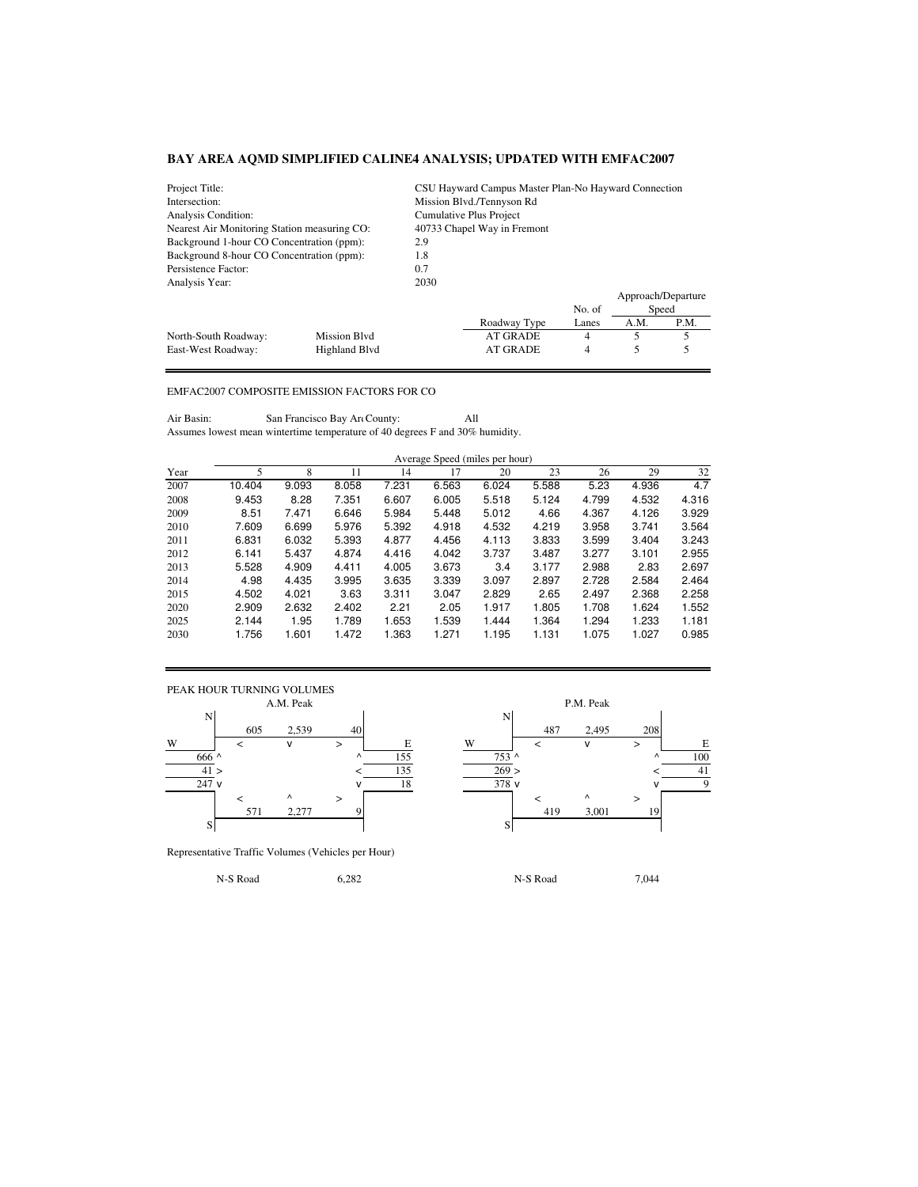| Project Title:                               |                     | CSU Hayward Campus Master Plan-No Hayward Connection |                 |        |      |                    |  |  |  |
|----------------------------------------------|---------------------|------------------------------------------------------|-----------------|--------|------|--------------------|--|--|--|
| Intersection:<br>Mission Blvd./Tennyson Rd   |                     |                                                      |                 |        |      |                    |  |  |  |
| Analysis Condition:                          |                     | Cumulative Plus Project                              |                 |        |      |                    |  |  |  |
| Nearest Air Monitoring Station measuring CO: |                     | 40733 Chapel Way in Fremont                          |                 |        |      |                    |  |  |  |
| Background 1-hour CO Concentration (ppm):    |                     | 2.9                                                  |                 |        |      |                    |  |  |  |
| Background 8-hour CO Concentration (ppm):    |                     | 1.8                                                  |                 |        |      |                    |  |  |  |
| Persistence Factor:                          |                     | 0.7                                                  |                 |        |      |                    |  |  |  |
| Analysis Year:                               |                     | 2030                                                 |                 |        |      |                    |  |  |  |
|                                              |                     |                                                      |                 |        |      | Approach/Departure |  |  |  |
|                                              |                     |                                                      |                 | No. of |      | Speed              |  |  |  |
|                                              |                     |                                                      | Roadway Type    | Lanes  | A.M. | P.M.               |  |  |  |
| North-South Roadway:                         | <b>Mission Blvd</b> |                                                      | <b>AT GRADE</b> | 4      | 5    | 5                  |  |  |  |
| East-West Roadway:                           | Highland Blvd       |                                                      | <b>AT GRADE</b> | 4      |      |                    |  |  |  |

## EMFAC2007 COMPOSITE EMISSION FACTORS FOR CO

Air Basin: San Francisco Bay Art County: All Assumes lowest mean wintertime temperature of 40 degrees F and 30% humidity.

|      | Average Speed (miles per hour) |       |       |       |       |       |       |       |       |       |
|------|--------------------------------|-------|-------|-------|-------|-------|-------|-------|-------|-------|
| Year |                                | 8     |       | 14    | 17    | 20    | 23    | 26    | 29    | 32    |
| 2007 | 10.404                         | 9.093 | 8.058 | 7.231 | 6.563 | 6.024 | 5.588 | 5.23  | 4.936 | 4.7   |
| 2008 | 9.453                          | 8.28  | 7.351 | 6.607 | 6.005 | 5.518 | 5.124 | 4.799 | 4.532 | 4.316 |
| 2009 | 8.51                           | 7.471 | 6.646 | 5.984 | 5.448 | 5.012 | 4.66  | 4.367 | 4.126 | 3.929 |
| 2010 | 7.609                          | 6.699 | 5.976 | 5.392 | 4.918 | 4.532 | 4.219 | 3.958 | 3.741 | 3.564 |
| 2011 | 6.831                          | 6.032 | 5.393 | 4.877 | 4.456 | 4.113 | 3.833 | 3.599 | 3.404 | 3.243 |
| 2012 | 6.141                          | 5.437 | 4.874 | 4.416 | 4.042 | 3.737 | 3.487 | 3.277 | 3.101 | 2.955 |
| 2013 | 5.528                          | 4.909 | 4.411 | 4.005 | 3.673 | 3.4   | 3.177 | 2.988 | 2.83  | 2.697 |
| 2014 | 4.98                           | 4.435 | 3.995 | 3.635 | 3.339 | 3.097 | 2.897 | 2.728 | 2.584 | 2.464 |
| 2015 | 4.502                          | 4.021 | 3.63  | 3.311 | 3.047 | 2.829 | 2.65  | 2.497 | 2.368 | 2.258 |
| 2020 | 2.909                          | 2.632 | 2.402 | 2.21  | 2.05  | 1.917 | 1.805 | 1.708 | 1.624 | 1.552 |

2025 2.144 1.95 1.789 1.653 1.539 1.444 1.364 1.294 1.233 1.181 2030 1.756 1.601 1.472 1.363 1.271 1.195 1.131 1.075 1.027 0.985



Representative Traffic Volumes (Vehicles per Hour)

N-S Road 6,282 6,282 N-S Road 7,044

P.M. Peak N 605 2,539 40 487 2,495 208 W < v > E W < v > E 666 ^ ^ 155 753 ^ ^ 100  $41 >$   $<$   $135$   $269 >$   $<$   $41$  $\sqrt{18}$   $\sqrt{378}$  v  $\sqrt{9}$ < ^ > < ^ > 571 2,277 9 419 3,001 19